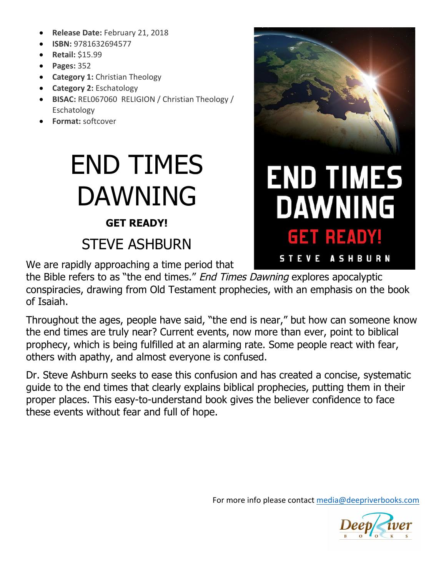- Release Date: February 21, 2018
- **ISBN:** 9781632694577
- **Retail:** \$15.99
- **Pages:** 352
- **Category 1:** Christian Theology
- **Category 2: Eschatology**
- BISAC: REL067060 RELIGION / Christian Theology / Eschatology
- **Format:** softcover

# END TIMES DAWNING

#### **GET READY!**

### STEVE ASHBURN

We are rapidly approaching a time period that

the Bible refers to as "the end times." End Times Dawning explores apocalyptic conspiracies, drawing from Old Testament prophecies, with an emphasis on the book of Isaiah.

Throughout the ages, people have said, "the end is near," but how can someone know the end times are truly near? Current events, now more than ever, point to biblical prophecy, which is being fulfilled at an alarming rate. Some people react with fear, others with apathy, and almost everyone is confused.

Dr. Steve Ashburn seeks to ease this confusion and has created a concise, systematic guide to the end times that clearly explains biblical prophecies, putting them in their proper places. This easy-to-understand book gives the believer confidence to face these events without fear and full of hope.



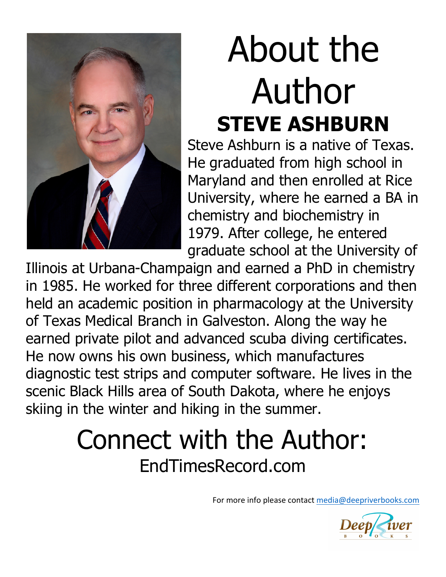

# About the Author **STEVE ASHBURN**

Steve Ashburn is a native of Texas. He graduated from high school in Maryland and then enrolled at Rice University, where he earned a BA in chemistry and biochemistry in 1979. After college, he entered graduate school at the University of

Illinois at Urbana-Champaign and earned a PhD in chemistry in 1985. He worked for three different corporations and then held an academic position in pharmacology at the University of Texas Medical Branch in Galveston. Along the way he earned private pilot and advanced scuba diving certificates. He now owns his own business, which manufactures diagnostic test strips and computer software. He lives in the scenic Black Hills area of South Dakota, where he enjoys skiing in the winter and hiking in the summer.

## Connect with the Author: EndTimesRecord.com

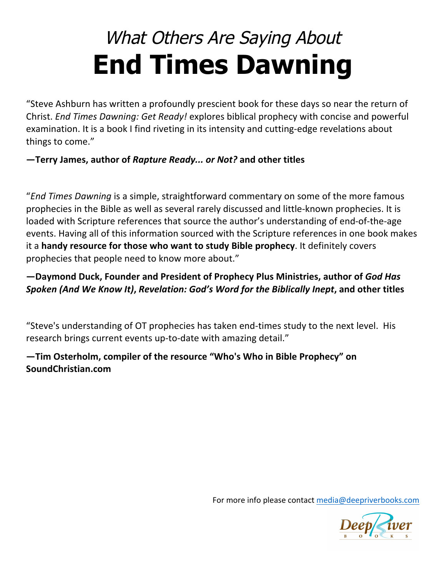## What Others Are Saying About **End Times Dawning**

"Steve Ashburn has written a profoundly prescient book for these days so near the return of Christ. *End Times Dawning: Get Ready!* explores biblical prophecy with concise and powerful examination. It is a book I find riveting in its intensity and cutting-edge revelations about things to come."

#### $-$  Terry James, author of *Rapture Ready... or Not?* and other titles

"*End Times Dawning* is a simple, straightforward commentary on some of the more famous prophecies in the Bible as well as several rarely discussed and little-known prophecies. It is loaded with Scripture references that source the author's understanding of end-of-the-age events. Having all of this information sourced with the Scripture references in one book makes it a handy resource for those who want to study Bible prophecy. It definitely covers prophecies that people need to know more about."

#### $-$  Daymond Duck, Founder and President of Prophecy Plus Ministries, author of *God Has Spoken (And We Know It)***,** *Revelation: God's Word for the Biblically Inept***, and other titles**

"Steve's understanding of OT prophecies has taken end-times study to the next level. His research brings current events up-to-date with amazing detail."

#### $-$ Tim Osterholm, compiler of the resource "Who's Who in Bible Prophecy" on **SoundChristian.com**

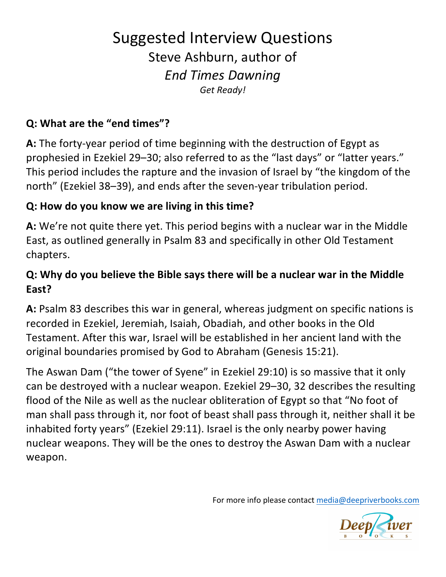### Suggested Interview Questions Steve Ashburn, author of *End Times Dawning Get Ready!*

#### **Q: What are the "end times"?**

**A:** The forty-year period of time beginning with the destruction of Egypt as prophesied in Ezekiel 29–30; also referred to as the "last days" or "latter years." This period includes the rapture and the invasion of Israel by "the kingdom of the north" (Ezekiel 38–39), and ends after the seven-year tribulation period.

#### **Q:** How do you know we are living in this time?

**A:** We're not quite there yet. This period begins with a nuclear war in the Middle East, as outlined generally in Psalm 83 and specifically in other Old Testament chapters.

#### **Q:** Why do you believe the Bible says there will be a nuclear war in the Middle **East?**

A: Psalm 83 describes this war in general, whereas judgment on specific nations is recorded in Ezekiel, Jeremiah, Isaiah, Obadiah, and other books in the Old Testament. After this war, Israel will be established in her ancient land with the original boundaries promised by God to Abraham (Genesis 15:21).

The Aswan Dam ("the tower of Syene" in Ezekiel 29:10) is so massive that it only can be destroyed with a nuclear weapon. Ezekiel 29–30, 32 describes the resulting flood of the Nile as well as the nuclear obliteration of Egypt so that "No foot of man shall pass through it, nor foot of beast shall pass through it, neither shall it be inhabited forty years" (Ezekiel 29:11). Israel is the only nearby power having nuclear weapons. They will be the ones to destroy the Aswan Dam with a nuclear weapon.

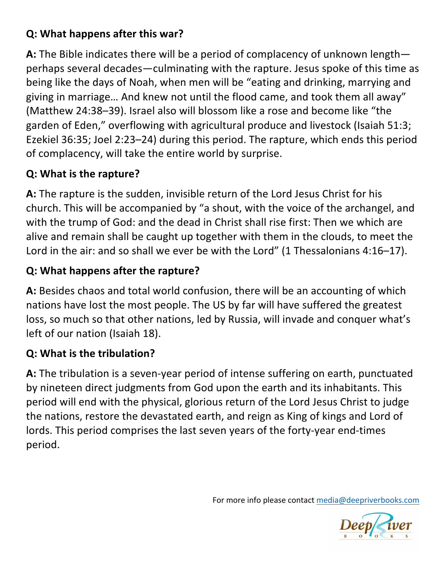#### **Q: What happens after this war?**

**A:** The Bible indicates there will be a period of complacency of unknown length perhaps several decades—culminating with the rapture. Jesus spoke of this time as being like the days of Noah, when men will be "eating and drinking, marrying and giving in marriage... And knew not until the flood came, and took them all away" (Matthew 24:38–39). Israel also will blossom like a rose and become like "the garden of Eden," overflowing with agricultural produce and livestock (Isaiah 51:3; Ezekiel 36:35; Joel 2:23–24) during this period. The rapture, which ends this period of complacency, will take the entire world by surprise.

#### **Q: What is the rapture?**

A: The rapture is the sudden, invisible return of the Lord Jesus Christ for his church. This will be accompanied by "a shout, with the voice of the archangel, and with the trump of God: and the dead in Christ shall rise first: Then we which are alive and remain shall be caught up together with them in the clouds, to meet the Lord in the air: and so shall we ever be with the Lord" (1 Thessalonians  $4:16-17$ ).

#### **Q: What happens after the rapture?**

**A:** Besides chaos and total world confusion, there will be an accounting of which nations have lost the most people. The US by far will have suffered the greatest loss, so much so that other nations, led by Russia, will invade and conquer what's left of our nation (Isaiah 18).

#### **Q: What is the tribulation?**

A: The tribulation is a seven-year period of intense suffering on earth, punctuated by nineteen direct judgments from God upon the earth and its inhabitants. This period will end with the physical, glorious return of the Lord Jesus Christ to judge the nations, restore the devastated earth, and reign as King of kings and Lord of lords. This period comprises the last seven years of the forty-year end-times period.

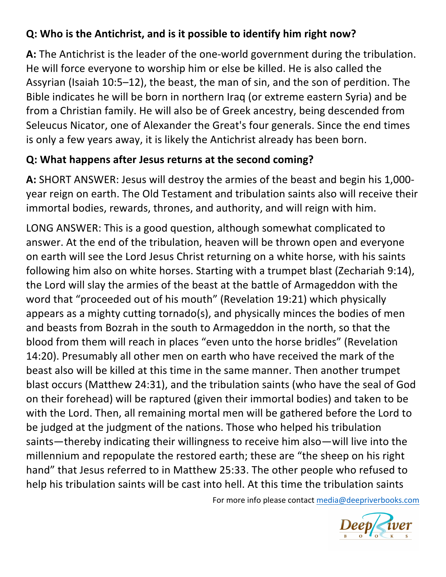#### **Q:** Who is the Antichrist, and is it possible to identify him right now?

A: The Antichrist is the leader of the one-world government during the tribulation. He will force everyone to worship him or else be killed. He is also called the Assyrian (Isaiah 10:5–12), the beast, the man of sin, and the son of perdition. The Bible indicates he will be born in northern Iraq (or extreme eastern Syria) and be from a Christian family. He will also be of Greek ancestry, being descended from Seleucus Nicator, one of Alexander the Great's four generals. Since the end times is only a few years away, it is likely the Antichrist already has been born.

#### **Q: What happens after Jesus returns at the second coming?**

**A:** SHORT ANSWER: Jesus will destroy the armies of the beast and begin his 1,000year reign on earth. The Old Testament and tribulation saints also will receive their immortal bodies, rewards, thrones, and authority, and will reign with him.

LONG ANSWER: This is a good question, although somewhat complicated to answer. At the end of the tribulation, heaven will be thrown open and everyone on earth will see the Lord Jesus Christ returning on a white horse, with his saints following him also on white horses. Starting with a trumpet blast (Zechariah 9:14), the Lord will slay the armies of the beast at the battle of Armageddon with the word that "proceeded out of his mouth" (Revelation 19:21) which physically appears as a mighty cutting tornado(s), and physically minces the bodies of men and beasts from Bozrah in the south to Armageddon in the north, so that the blood from them will reach in places "even unto the horse bridles" (Revelation 14:20). Presumably all other men on earth who have received the mark of the beast also will be killed at this time in the same manner. Then another trumpet blast occurs (Matthew 24:31), and the tribulation saints (who have the seal of God on their forehead) will be raptured (given their immortal bodies) and taken to be with the Lord. Then, all remaining mortal men will be gathered before the Lord to be judged at the judgment of the nations. Those who helped his tribulation saints—thereby indicating their willingness to receive him also—will live into the millennium and repopulate the restored earth; these are "the sheep on his right hand" that Jesus referred to in Matthew 25:33. The other people who refused to help his tribulation saints will be cast into hell. At this time the tribulation saints